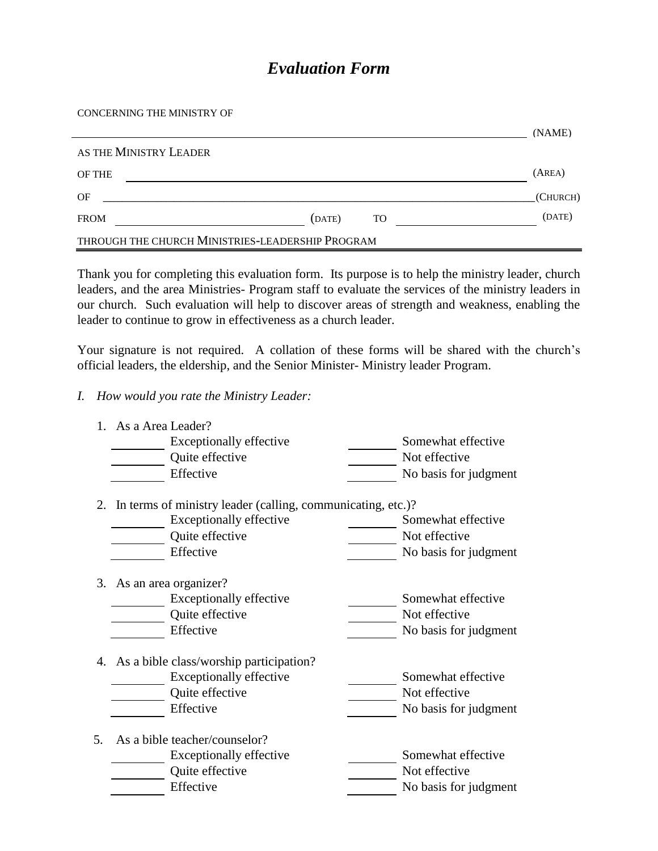## *Evaluation Form*

## CONCERNING THE MINISTRY OF

|                                                  |        |    | (NAME)   |
|--------------------------------------------------|--------|----|----------|
| AS THE MINISTRY LEADER                           |        |    |          |
| OF THE                                           |        |    | (AREA)   |
| OF                                               |        |    | (CHURCH) |
| <b>FROM</b>                                      | (DATE) | TO | (DATE)   |
| THROUGH THE CHURCH MINISTRIES-LEADERSHIP PROGRAM |        |    |          |

Thank you for completing this evaluation form. Its purpose is to help the ministry leader, church leaders, and the area Ministries- Program staff to evaluate the services of the ministry leaders in our church. Such evaluation will help to discover areas of strength and weakness, enabling the leader to continue to grow in effectiveness as a church leader.

Your signature is not required. A collation of these forms will be shared with the church's official leaders, the eldership, and the Senior Minister- Ministry leader Program.

*I. How would you rate the Ministry Leader:*

|    | 1. As a Area Leader?                                           |                       |
|----|----------------------------------------------------------------|-----------------------|
|    | <b>Exceptionally effective</b>                                 | Somewhat effective    |
|    | Quite effective                                                | Not effective         |
|    | Effective                                                      | No basis for judgment |
|    | 2. In terms of ministry leader (calling, communicating, etc.)? |                       |
|    | <b>Exceptionally effective</b>                                 | Somewhat effective    |
|    | Quite effective                                                | Not effective         |
|    | Effective                                                      | No basis for judgment |
|    | 3. As an area organizer?                                       |                       |
|    | <b>Exceptionally effective</b>                                 | Somewhat effective    |
|    | Quite effective                                                | Not effective         |
|    | Effective                                                      | No basis for judgment |
|    | 4. As a bible class/worship participation?                     |                       |
|    | <b>Exceptionally effective</b>                                 | Somewhat effective    |
|    | Quite effective                                                | Not effective         |
|    | Effective                                                      | No basis for judgment |
| 5. | As a bible teacher/counselor?                                  |                       |
|    | Exceptionally effective                                        | Somewhat effective    |
|    | Quite effective                                                | Not effective         |
|    | Effective                                                      | No basis for judgment |